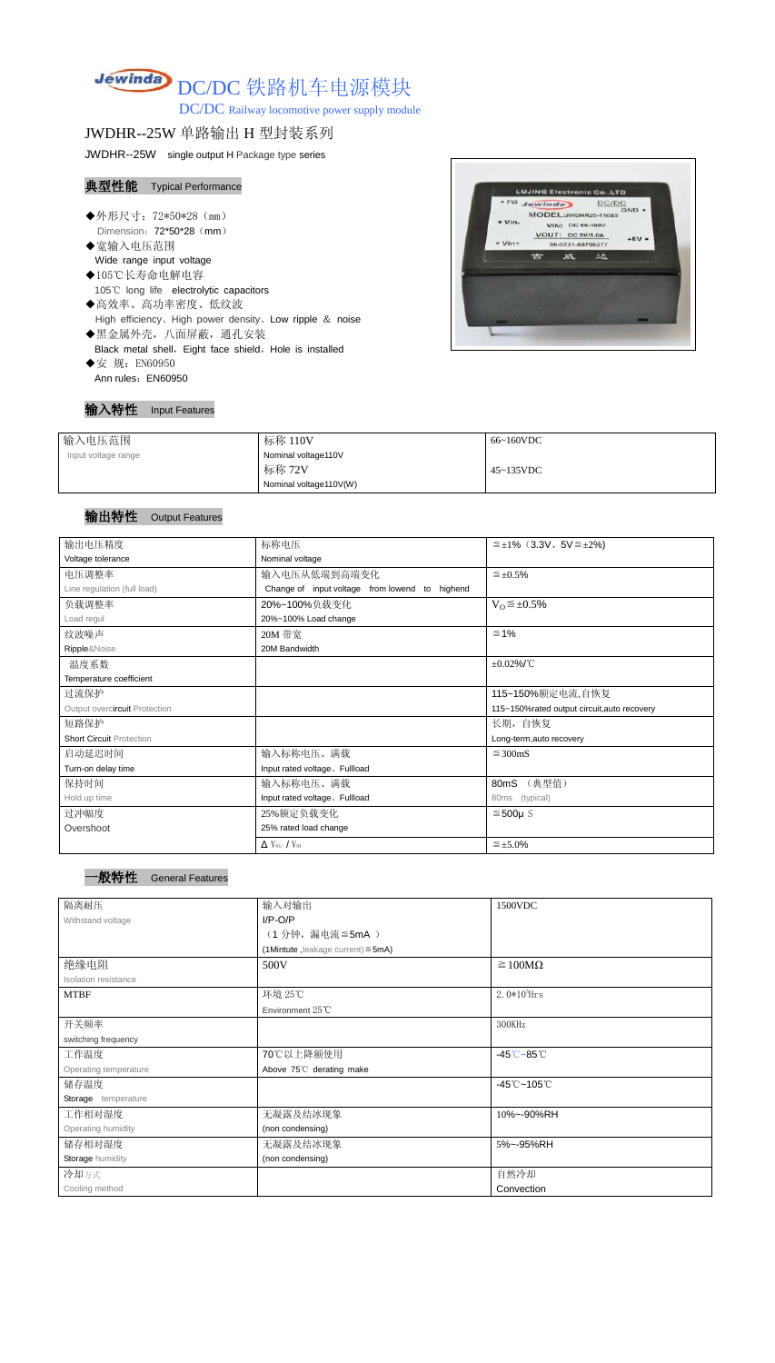# Jewinda DC/DC 铁路机车电源模块

DC/DC Railway locomotive power supply module

# JWDHR--25W 单路输出 H 型封装系列

JWDHR--25W single output H Package type series

### 典型性能 Typical Performance

- ◆外形尺寸: 72\*50\*28 (mm) Dimension: 72\*50\*28 (mm)
- ◆宽输入电压范围 Wide range input voltage
- ◆105℃长寿命电解电容 105℃ long life electrolytic capacitors
- ◆高效率、高功率密度、低纹波 High efficiency、High power density、Low ripple & noise
- ◆黑金属外壳,八面屏蔽,通孔安装 Black metal shell, Eight face shield, Hole is installed
- ◆安 规: EN60950 Ann rules: EN60950



| 输入特性 | <b>Input Features</b> |
|------|-----------------------|
|------|-----------------------|

| 输入电压范围              | 标称 110V                | 66~160VDC         |
|---------------------|------------------------|-------------------|
| Input voltage range | Nominal voltage110V    |                   |
|                     | 标称 72V                 | $45 \sim 135$ VDC |
|                     | Nominal voltage110V(W) |                   |

#### 输出特性 Output Features

一般特性 General Features

| 输出电压精度                          | 标称电压                                           | $\leq \pm 1\%$ (3.3V, 5V $\leq \pm 2\%$ )   |  |  |
|---------------------------------|------------------------------------------------|---------------------------------------------|--|--|
| Voltage tolerance               | Nominal voltage                                |                                             |  |  |
| 电压调整率                           | 输入电压从低端到高端变化                                   | $\leq \pm 0.5\%$                            |  |  |
| Line regulation (full load)     | Change of input voltage from lowend to highend |                                             |  |  |
| 负载调整率                           | 20%~100%负载变化                                   | $V_0 \leq \pm 0.5\%$                        |  |  |
| Load regul                      | 20%~100% Load change                           |                                             |  |  |
| 纹波噪声                            | 20M 带宽                                         | $\leq 1\%$                                  |  |  |
| Ripple&Noise                    | 20M Bandwidth                                  |                                             |  |  |
| 温度系数                            |                                                | $\pm 0.02\%$ /°C                            |  |  |
| Temperature coefficient         |                                                |                                             |  |  |
| 过流保护                            |                                                | 115~150%额定电流,自恢复                            |  |  |
| Output overcircuit Protection   |                                                | 115~150%rated output circuit, auto recovery |  |  |
| 短路保护                            |                                                | 长期, 自恢复                                     |  |  |
| <b>Short Circuit Protection</b> |                                                | Long-term, auto recovery                    |  |  |
| 启动延迟时间                          | 输入标称电压、满载                                      | $\leq$ 300mS                                |  |  |
| Turn-on delay time              | Input rated voltage. Fullload                  |                                             |  |  |
| 保持时间                            | 输入标称电压、满载                                      | (典型值)<br>80mS                               |  |  |
| Hold up time                    | Input rated voltage. Fullload                  | (typical)<br>80ms                           |  |  |
| 过冲幅度                            | 25%额定负载变化                                      | $≤500µ$ S                                   |  |  |
| Overshoot                       | 25% rated load change                          |                                             |  |  |
|                                 | $\Delta$ V <sub>01</sub> /V <sub>01</sub>      | $\leq \pm 5.0\%$                            |  |  |

| ____ |  |
|------|--|
|      |  |
|      |  |

| 隔离耐压                  | 输入对输出                                   | 1500VDC                                    |
|-----------------------|-----------------------------------------|--------------------------------------------|
| Withstand voltage     | $I/P-O/P$                               |                                            |
|                       | (1分钟,漏电流 ≦5mA)                          |                                            |
|                       | (1Mintute, leakage current) $\leq$ 5mA) |                                            |
| 绝缘电阻                  | 500V                                    | $\geq 100M\Omega$                          |
| Isolation resistance  |                                         |                                            |
| <b>MTBF</b>           | 环境 25℃                                  | $2.0*105$ Hrs                              |
|                       | Environment 25°C                        |                                            |
| 开关频率                  |                                         | 300KHz                                     |
| switching frequency   |                                         |                                            |
| 工作温度                  | 70℃以上降额使用                               | $-45^{\circ}\text{C} - 85^{\circ}\text{C}$ |
| Operating temperature | Above 75°C derating make                |                                            |
| 储存温度                  |                                         | $-45^{\circ}$ C ~105 $^{\circ}$ C          |
| Storage temperature   |                                         |                                            |
| 工作相对湿度                | 无凝露及结冰现象                                | 10%~-90%RH                                 |
| Operating humidity    | (non condensing)                        |                                            |
| 储存相对湿度                | 无凝露及结冰现象                                | 5%~-95%RH                                  |
| Storage humidity      | (non condensing)                        |                                            |
| 冷却方式                  |                                         | 自然冷却                                       |
| Cooling method        |                                         | Convection                                 |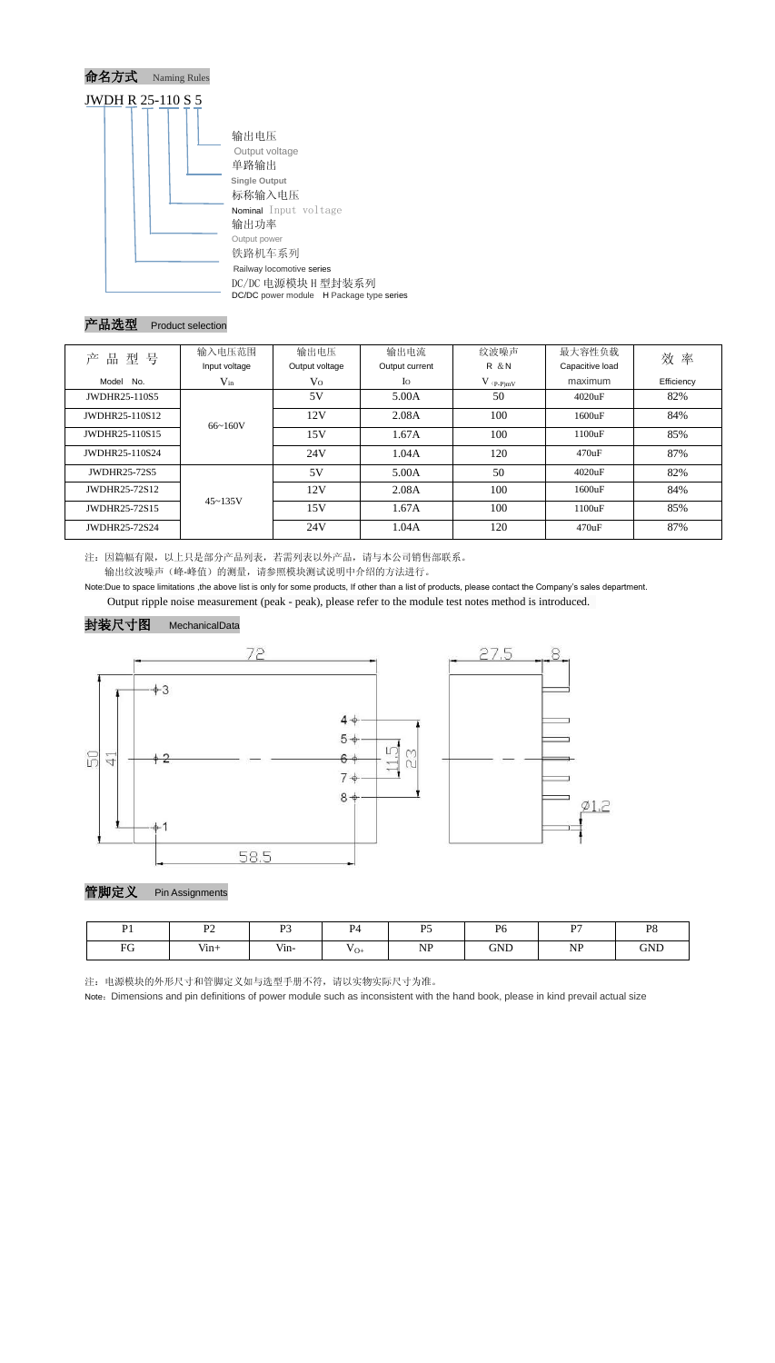

# 产品选型 Product selection

| 型号<br>品<br>ᅔ   | 输入电压范围        | 输出电压           | 输出电流           |               | 最大容性负载          | 效率         |  |
|----------------|---------------|----------------|----------------|---------------|-----------------|------------|--|
|                | Input voltage | Output voltage | Output current | <b>R</b> & N  | Capacitive load |            |  |
| No.<br>Model   | $V_{in}$      | $\rm V_{O}$    | $I_{\rm O}$    | $V_{(P-P)mV}$ | maximum         | Efficiency |  |
| JWDHR25-110S5  |               | 5V             | 5.00A          | 50            | 4020uF          | 82%        |  |
| JWDHR25-110S12 | $66 - 160V$   | 12V            | 2.08A          | 100           | 1600uF          | 84%        |  |
| JWDHR25-110S15 |               | 15V            | 1.67A          | 100           | 1100uF          | 85%        |  |
| JWDHR25-110S24 |               | 24V            | 1.04A          | 120           | 470uF           | 87%        |  |
| JWDHR25-72S5   |               | 5V             | 5.00A          | 50            | 4020uF          | 82%        |  |
| JWDHR25-72S12  | $45 - 135V$   | 12V            | 2.08A          | 100           | 1600uF          | 84%        |  |
| JWDHR25-72S15  |               | 15V            | 1.67A          | 100           | 1100uF          | 85%        |  |
| JWDHR25-72S24  |               | 24V            | 1.04A          | 120           | 470uF           | 87%        |  |

注:因篇幅有限,以上只是部分产品列表,若需列表以外产品,请与本公司销售部联系。 输出纹波噪声(峰-峰值)的测量,请参照模块测试说明中介绍的方法进行。

Note:Due to space limitations ,the above list is only for some products, If other than a list of products, please contact the Company's sales department. Output ripple noise measurement (peak - peak), please refer to the module test notes method is introduced.





管脚定义 Pin Assignments

注:电源模块的外形尺寸和管脚定义如与选型手册不符,请以实物实际尺寸为准。

Note: Dimensions and pin definitions of power module such as inconsistent with the hand book, please in kind prevail actual size

| $\mathbf{D}$ <sub>1</sub> | $\mathbf{D}$ | $\mathbf{D}$ | $\mathbf{D}$               | $D\zeta$  | $D\epsilon$ | D7        | P <sub>8</sub> |
|---------------------------|--------------|--------------|----------------------------|-----------|-------------|-----------|----------------|
| E C                       | $V$ in+      | $V$ in-      | $\mathbf{v}_{\mathrm{O+}}$ | <b>NP</b> | <b>GND</b>  | <b>NP</b> | <b>GND</b>     |